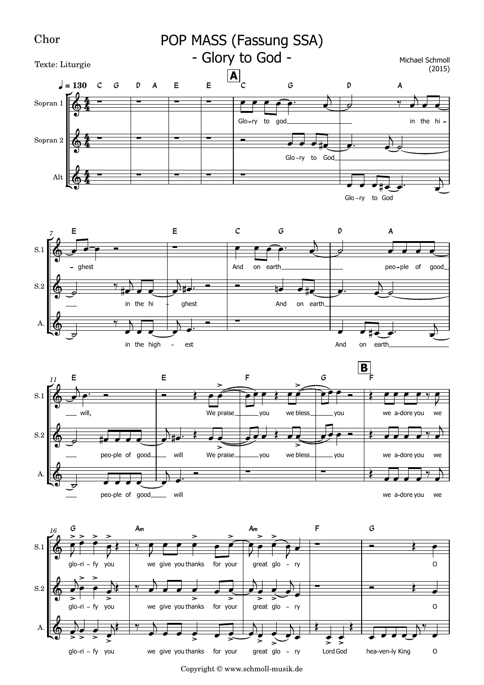

Copyright © www.schmoll-musik.de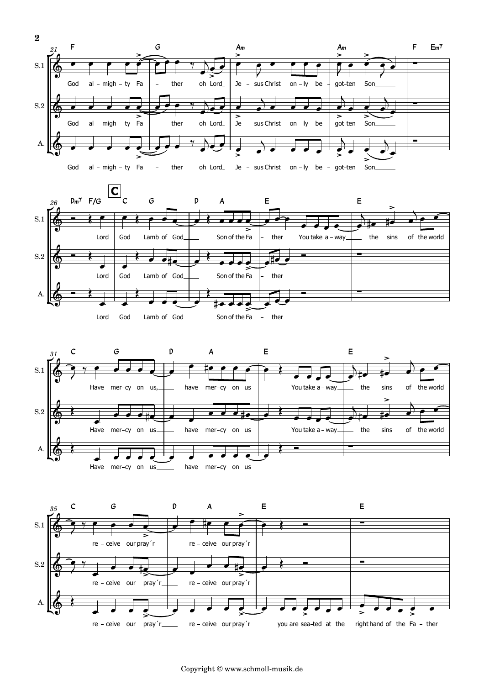

![](_page_1_Figure_1.jpeg)

![](_page_1_Figure_2.jpeg)

![](_page_1_Figure_3.jpeg)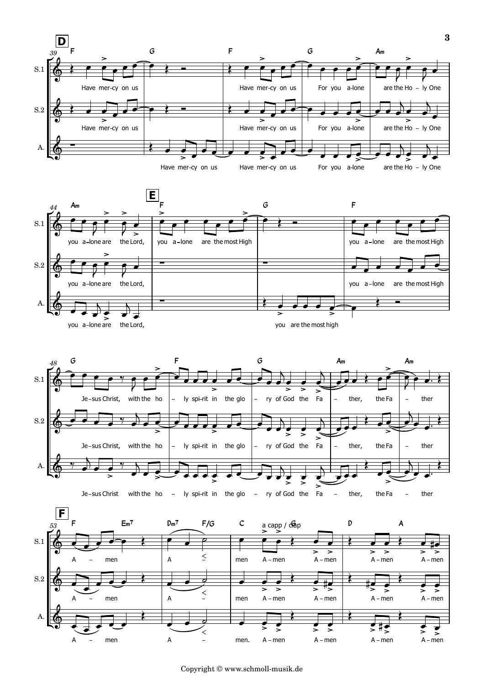![](_page_2_Figure_0.jpeg)

![](_page_2_Figure_1.jpeg)

![](_page_2_Figure_2.jpeg)

![](_page_2_Figure_3.jpeg)

Copyright © www.schmoll-musik.de